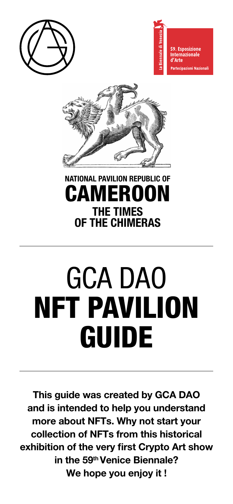





# NATIONAL PAVILION REPUBLIC OF CAMEROON THE TIMES OF THE CHIMERAS

# GCA DAO NFT PAVILION GUIDE

This guide was created by GCA DAO and is intended to help you understand more about NFTs. Why not start your collection of NFTs from this historical exhibition of the very first Crypto Art show in the 59<sup>th</sup> Venice Biennale? We hope you enjoy it !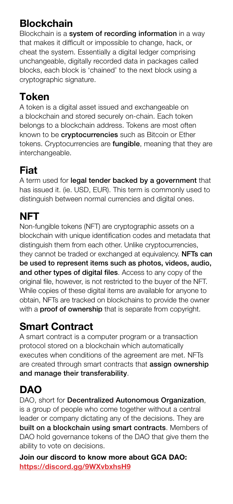#### **Blockchain**

Blockchain is a system of recording information in a way that makes it difficult or impossible to change, hack, or cheat the system. Essentially a digital ledger comprising unchangeable, digitally recorded data in packages called blocks, each block is 'chained' to the next block using a cryptographic signature.

## Token

A token is a digital asset issued and exchangeable on a blockchain and stored securely on-chain. Each token belongs to a blockchain address. Tokens are most often known to be **cryptocurrencies** such as Bitcoin or Ether tokens. Cryptocurrencies are fungible, meaning that they are interchangeable.

## Fiat

A term used for legal tender backed by a government that has issued it. (ie. USD, EUR). This term is commonly used to distinguish between normal currencies and digital ones.

# NFT

Non-fungible tokens (NFT) are cryptographic assets on a blockchain with unique identification codes and metadata that distinguish them from each other. Unlike cryptocurrencies, they cannot be traded or exchanged at equivalency. **NFTs can** be used to represent items such as photos, videos, audio, and other types of digital files. Access to any copy of the original file, however, is not restricted to the buyer of the NFT. While copies of these digital items are available for anyone to obtain, NFTs are tracked on blockchains to provide the owner with a **proof of ownership** that is separate from copyright.

#### Smart Contract

A smart contract is a computer program or a transaction protocol stored on a blockchain which automatically executes when conditions of the agreement are met. NFTs are created through smart contracts that assign ownership and manage their transferability.

# DAO

DAO, short for Decentralized Autonomous Organization, is a group of people who come together without a central leader or company dictating any of the decisions. They are built on a blockchain using smart contracts. Members of DAO hold governance tokens of the DAO that give them the ability to vote on decisions.

Join our discord to know more about GCA DAO: <https://discord.gg/9WXvbxhsH9>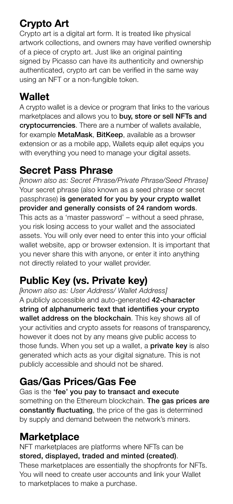## Crypto Art

Crypto art is a digital art form. It is treated like physical artwork collections, and owners may have verified ownership of a piece of crypto art. Just like an original painting signed by Picasso can have its authenticity and ownership authenticated, crypto art can be verified in the same way using an NFT or a non-fungible token.

# **Wallet**

A crypto wallet is a device or program that links to the various marketplaces and allows you to buy, store or sell NFTs and cryptocurrencies. There are a number of wallets available, for example MetaMask, BitKeep, available as a browser extension or as a mobile app, Wallets equip allet equips you with everything you need to manage your digital assets.

#### Secret Pass Phrase

*[known also as: Secret Phrase/Private Phrase/Seed Phrase]* Your secret phrase (also known as a seed phrase or secret passphrase) is generated for you by your crypto wallet provider and generally consists of 24 random words. This acts as a 'master password' – without a seed phrase, you risk losing access to your wallet and the associated assets. You will only ever need to enter this into your official wallet website, app or browser extension. It is important that you never share this with anyone, or enter it into anything not directly related to your wallet provider.

# Public Key (vs. Private key)

*[known also as: User Address/ Wallet Address]* A publicly accessible and auto-generated 42-character string of alphanumeric text that identifies your crypto wallet address on the blockchain. This key shows all of your activities and crypto assets for reasons of transparency, however it does not by any means give public access to those funds. When you set up a wallet, a **private key** is also generated which acts as your digital signature. This is not publicly accessible and should not be shared.

## Gas/Gas Prices/Gas Fee

Gas is the 'fee' you pay to transact and execute something on the Ethereum blockchain. The gas prices are constantly fluctuating, the price of the gas is determined by supply and demand between the network's miners.

#### **Marketplace**

NFT marketplaces are platforms where NFTs can be stored, displayed, traded and minted (created). These marketplaces are essentially the shopfronts for NFTs. You will need to create user accounts and link your Wallet to marketplaces to make a purchase.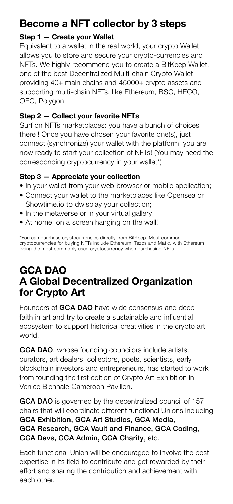#### Become a NFT collector by 3 steps

#### Step 1 — Create your Wallet

Equivalent to a wallet in the real world, your crypto Wallet allows you to store and secure your crypto-currencies and NFTs. We highly recommend you to create a BitKeep Wallet, one of the best Decentralized Multi-chain Crypto Wallet providing 40+ main chains and 45000+ crypto assets and supporting multi-chain NFTs, like Ethereum, BSC, HECO, OEC, Polygon.

#### Step 2 — Collect your favorite NFTs

Surf on NFTs marketplaces: you have a bunch of choices there ! Once you have chosen your favorite one(s), just connect (synchronize) your wallet with the platform: you are now ready to start your collection of NFTs! (You may need the corresponding cryptocurrency in your wallet\*)

#### Step 3 — Appreciate your collection

- In your wallet from your web browser or mobile application;
- Connect your wallet to the marketplaces like Opensea or Showtime.io to dwisplay your collection;
- In the metaverse or in your virtual gallery;
- At home, on a screen hanging on the wall!

\*You can purchase cryptocurrencies directly from BitKeep. Most common cryptocurrencies for buying NFTs include Ethereum, Tezos and Matic, with Ethereum being the most commonly used cryptocurrency when purchasing NFTs.

#### GCA DAO A Global Decentralized Organization for Crypto Art

Founders of GCA DAO have wide consensus and deep faith in art and try to create a sustainable and influential ecosystem to support historical creativities in the crypto art world.

GCA DAO, whose founding councilors include artists, curators, art dealers, collectors, poets, scientists, early blockchain investors and entrepreneurs, has started to work from founding the first edition of Crypto Art Exhibition in Venice Biennale Cameroon Pavilion.

GCA DAO is governed by the decentralized council of 157 chairs that will coordinate different functional Unions including GCA Exhibition, GCA Art Studios, GCA Media, GCA Research, GCA Vault and Finance, GCA Coding, GCA Devs, GCA Admin, GCA Charity, etc.

Each functional Union will be encouraged to involve the best expertise in its field to contribute and get rewarded by their effort and sharing the contribution and achievement with each other.